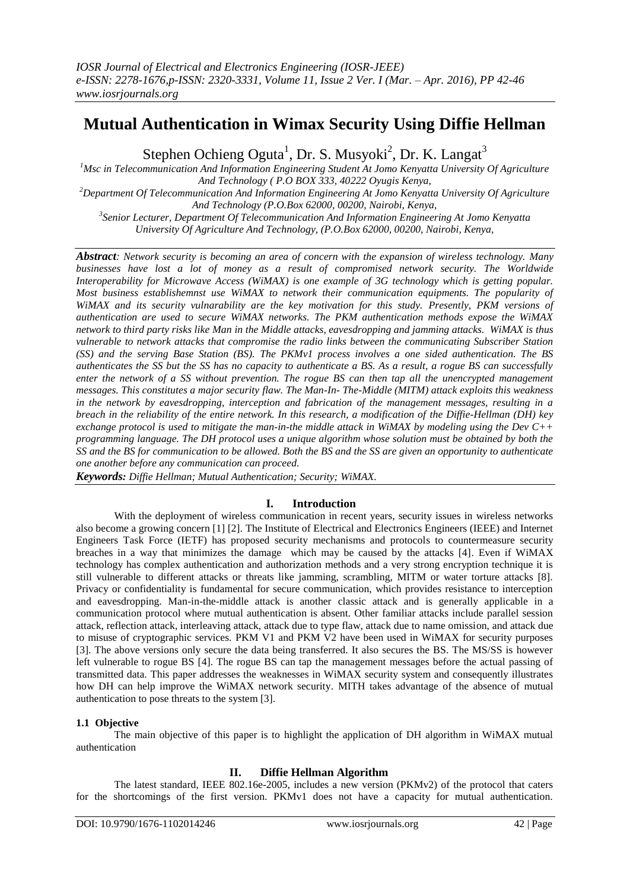# **Mutual Authentication in Wimax Security Using Diffie Hellman**

Stephen Ochieng Oguta<sup>1</sup>, Dr. S. Musyoki<sup>2</sup>, Dr. K. Langat<sup>3</sup>

*<sup>1</sup>Msc in Telecommunication And Information Engineering Student At Jomo Kenyatta University Of Agriculture And Technology ( P.O BOX 333, 40222 Oyugis Kenya, <sup>2</sup>Department Of Telecommunication And Information Engineering At Jomo Kenyatta University Of Agriculture And Technology (P.O.Box 62000, 00200, Nairobi, Kenya,*

*3 Senior Lecturer, Department Of Telecommunication And Information Engineering At Jomo Kenyatta University Of Agriculture And Technology, (P.O.Box 62000, 00200, Nairobi, Kenya,*

*Abstract: Network security is becoming an area of concern with the expansion of wireless technology. Many businesses have lost a lot of money as a result of compromised network security. The Worldwide Interoperability for Microwave Access (WiMAX) is one example of 3G technology which is getting popular. Most business establishemnst use WiMAX to network their communication equipments. The popularity of WiMAX and its security vulnarability are the key motivation for this study. Presently, PKM versions of authentication are used to secure WiMAX networks. The PKM authentication methods expose the WiMAX network to third party risks like Man in the Middle attacks, eavesdropping and jamming attacks. WiMAX is thus vulnerable to network attacks that compromise the radio links between the communicating Subscriber Station (SS) and the serving Base Station (BS). The PKMv1 process involves a one sided authentication. The BS authenticates the SS but the SS has no capacity to authenticate a BS. As a result, a rogue BS can successfully enter the network of a SS without prevention. The rogue BS can then tap all the unencrypted management messages. This constitutes a major security flaw. The Man-In- The-Middle (MITM) attack exploits this weakness in the network by eavesdropping, interception and fabrication of the management messages, resulting in a breach in the reliability of the entire network. In this research, a modification of the Diffie-Hellman (DH) key exchange protocol is used to mitigate the man-in-the middle attack in WiMAX by modeling using the Dev C++ programming language. The DH protocol uses a unique algorithm whose solution must be obtained by both the SS and the BS for communication to be allowed. Both the BS and the SS are given an opportunity to authenticate one another before any communication can proceed.*

*Keywords: Diffie Hellman; Mutual Authentication; Security; WiMAX.*

# **I. Introduction**

With the deployment of wireless communication in recent years, security issues in wireless networks also become a growing concern [1] [2]. The Institute of Electrical and Electronics Engineers (IEEE) and Internet Engineers Task Force (IETF) has proposed security mechanisms and protocols to countermeasure security breaches in a way that minimizes the damage which may be caused by the attacks [4]. Even if WiMAX technology has complex authentication and authorization methods and a very strong encryption technique it is still vulnerable to different attacks or threats like jamming, scrambling, MITM or water torture attacks [8]. Privacy or confidentiality is fundamental for secure communication, which provides resistance to interception and eavesdropping. Man-in-the-middle attack is another classic attack and is generally applicable in a communication protocol where mutual authentication is absent. Other familiar attacks include parallel session attack, reflection attack, interleaving attack, attack due to type flaw, attack due to name omission, and attack due to misuse of cryptographic services. PKM V1 and PKM V2 have been used in WiMAX for security purposes [3]. The above versions only secure the data being transferred. It also secures the BS. The MS/SS is however left vulnerable to rogue BS [4]. The rogue BS can tap the management messages before the actual passing of transmitted data. This paper addresses the weaknesses in WiMAX security system and consequently illustrates how DH can help improve the WiMAX network security. MITH takes advantage of the absence of mutual authentication to pose threats to the system [3].

## **1.1 Objective**

The main objective of this paper is to highlight the application of DH algorithm in WiMAX mutual authentication

# **II. Diffie Hellman Algorithm**

The latest standard, IEEE 802.16e-2005, includes a new version (PKMv2) of the protocol that caters for the shortcomings of the first version. PKMv1 does not have a capacity for mutual authentication.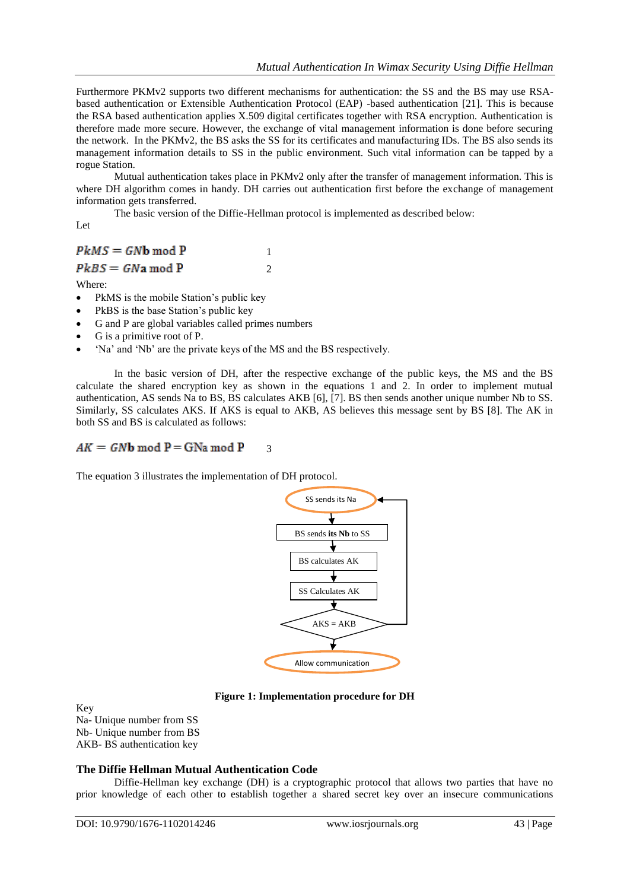Furthermore PKMv2 supports two different mechanisms for authentication: the SS and the BS may use RSAbased authentication or Extensible Authentication Protocol (EAP) -based authentication [21]. This is because the RSA based authentication applies X.509 digital certificates together with RSA encryption. Authentication is therefore made more secure. However, the exchange of vital management information is done before securing the network. In the PKMv2, the BS asks the SS for its certificates and manufacturing IDs. The BS also sends its management information details to SS in the public environment. Such vital information can be tapped by a rogue Station.

Mutual authentication takes place in PKMv2 only after the transfer of management information. This is where DH algorithm comes in handy. DH carries out authentication first before the exchange of management information gets transferred.

The basic version of the Diffie-Hellman protocol is implemented as described below:

2

Let

#### $PKMS = GNb \text{ mod } P$ 1

 $PkBS = GNa \mod P$ 

Where:

- PkMS is the mobile Station's public key
- PkBS is the base Station's public key
- G and P are global variables called primes numbers
- G is a primitive root of P.
- 'Na' and 'Nb' are the private keys of the MS and the BS respectively.

In the basic version of DH, after the respective exchange of the public keys, the MS and the BS calculate the shared encryption key as shown in the equations 1 and 2. In order to implement mutual authentication, AS sends Na to BS, BS calculates AKB [6], [7]. BS then sends another unique number Nb to SS. Similarly, SS calculates AKS. If AKS is equal to AKB, AS believes this message sent by BS [8]. The AK in both SS and BS is calculated as follows:

#### $AK = GNb \text{ mod } P = GNa \text{ mod } P$ 3

The equation 3 illustrates the implementation of DH protocol.



**Figure 1: Implementation procedure for DH**

Key

Na- Unique number from SS Nb- Unique number from BS AKB- BS authentication key

## **The Diffie Hellman Mutual Authentication Code**

Diffie-Hellman key exchange (DH) is a cryptographic protocol that allows two parties that have no prior knowledge of each other to establish together a shared secret key over an insecure communications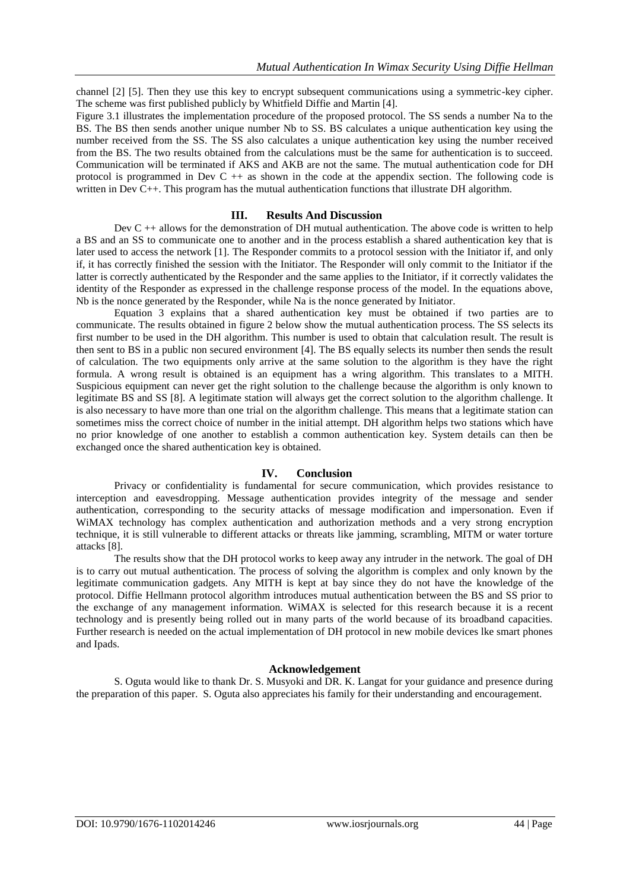channel [2] [5]. Then they use this key to encrypt subsequent communications using a symmetric-key cipher. The scheme was first published publicly by Whitfield Diffie and Martin [4].

Figure 3.1 illustrates the implementation procedure of the proposed protocol. The SS sends a number Na to the BS. The BS then sends another unique number Nb to SS. BS calculates a unique authentication key using the number received from the SS. The SS also calculates a unique authentication key using the number received from the BS. The two results obtained from the calculations must be the same for authentication is to succeed. Communication will be terminated if AKS and AKB are not the same. The mutual authentication code for DH protocol is programmed in Dev C ++ as shown in the code at the appendix section. The following code is written in Dev C++. This program has the mutual authentication functions that illustrate DH algorithm.

#### **III. Results And Discussion**

Dev  $C ++$  allows for the demonstration of DH mutual authentication. The above code is written to help a BS and an SS to communicate one to another and in the process establish a shared authentication key that is later used to access the network [1]. The Responder commits to a protocol session with the Initiator if, and only if, it has correctly finished the session with the Initiator. The Responder will only commit to the Initiator if the latter is correctly authenticated by the Responder and the same applies to the Initiator, if it correctly validates the identity of the Responder as expressed in the challenge response process of the model. In the equations above, Nb is the nonce generated by the Responder, while Na is the nonce generated by Initiator.

Equation 3 explains that a shared authentication key must be obtained if two parties are to communicate. The results obtained in figure 2 below show the mutual authentication process. The SS selects its first number to be used in the DH algorithm. This number is used to obtain that calculation result. The result is then sent to BS in a public non secured environment [4]. The BS equally selects its number then sends the result of calculation. The two equipments only arrive at the same solution to the algorithm is they have the right formula. A wrong result is obtained is an equipment has a wring algorithm. This translates to a MITH. Suspicious equipment can never get the right solution to the challenge because the algorithm is only known to legitimate BS and SS [8]. A legitimate station will always get the correct solution to the algorithm challenge. It is also necessary to have more than one trial on the algorithm challenge. This means that a legitimate station can sometimes miss the correct choice of number in the initial attempt. DH algorithm helps two stations which have no prior knowledge of one another to establish a common authentication key. System details can then be exchanged once the shared authentication key is obtained.

#### **IV. Conclusion**

Privacy or confidentiality is fundamental for secure communication, which provides resistance to interception and eavesdropping. Message authentication provides integrity of the message and sender authentication, corresponding to the security attacks of message modification and impersonation. Even if WiMAX technology has complex authentication and authorization methods and a very strong encryption technique, it is still vulnerable to different attacks or threats like jamming, scrambling, MITM or water torture attacks [8].

The results show that the DH protocol works to keep away any intruder in the network. The goal of DH is to carry out mutual authentication. The process of solving the algorithm is complex and only known by the legitimate communication gadgets. Any MITH is kept at bay since they do not have the knowledge of the protocol. Diffie Hellmann protocol algorithm introduces mutual authentication between the BS and SS prior to the exchange of any management information. WiMAX is selected for this research because it is a recent technology and is presently being rolled out in many parts of the world because of its broadband capacities. Further research is needed on the actual implementation of DH protocol in new mobile devices lke smart phones and Ipads.

### **Acknowledgement**

S. Oguta would like to thank Dr. S. Musyoki and DR. K. Langat for your guidance and presence during the preparation of this paper. S. Oguta also appreciates his family for their understanding and encouragement.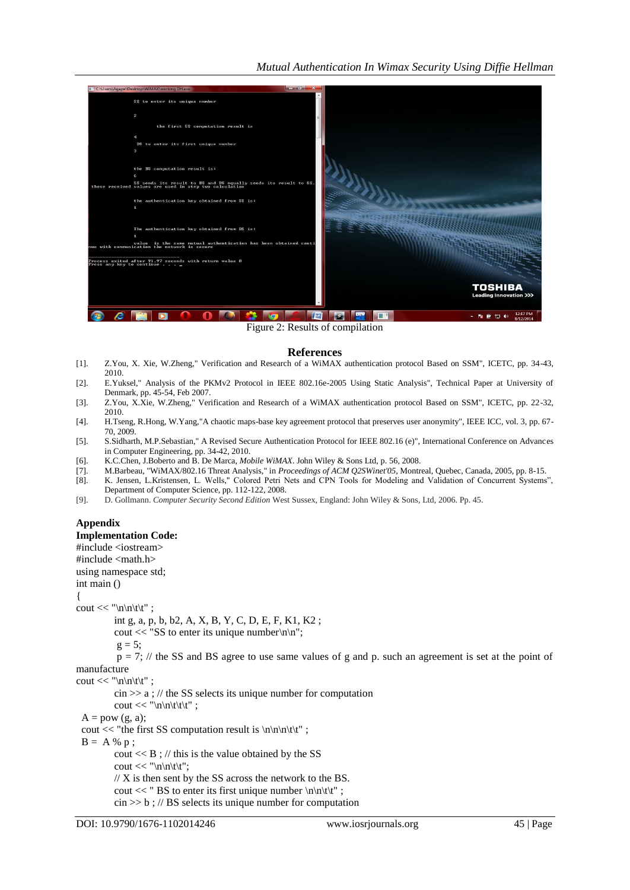

Figure 2: Results of compilation

#### **References**

- [1]. Z.You, X. Xie, W.Zheng," Verification and Research of a WiMAX authentication protocol Based on SSM", ICETC, pp. 34-43, 2010.
- [2]. E.Yuksel," Analysis of the PKMv2 Protocol in IEEE 802.16e-2005 Using Static Analysis", Technical Paper at University of Denmark, pp. 45-54, Feb 2007.
- [3]. Z.You, X.Xie, W.Zheng," Verification and Research of a WiMAX authentication protocol Based on SSM", ICETC, pp. 22-32, 2010.
- [4]. H.Tseng, R.Hong, W.Yang,"A chaotic maps-base key agreement protocol that preserves user anonymity", IEEE ICC, vol. 3, pp. 67- 70, 2009.
- [5]. S.Sidharth, M.P.Sebastian," A Revised Secure Authentication Protocol for IEEE 802.16 (e)", International Conference on Advances in Computer Engineering, pp. 34-42, 2010.
- [6]. K.C.Chen, J.Boberto and B. De Marca, *Mobile WiMAX*. John Wiley & Sons Ltd, p. 56, 2008.
- [7]. M.Barbeau, "WiMAX/802.16 Threat Analysis," in *Proceedings of ACM Q2SWinet'05*, Montreal, Quebec, Canada, 2005, pp. 8-15.
- [8]. K. Jensen, L.Kristensen*,* L. Wells," Colored Petri Nets and CPN Tools for Modeling and Validation of Concurrent Systems", Department of Computer Science, pp. 112-122, 2008.
- [9]. D. Gollmann. *Computer Security Second Edition* West Sussex, England: John Wiley & Sons, Ltd, 2006. Pp. 45.

# **Appendix**

**Implementation Code:** 

#include <iostream> #include <math.h>

using namespace std;

int main ()

{

cout << "\n\n\t\t" ;

int g, a, p, b, b2, A, X, B, Y, C, D, E, F, K1, K2 ;

cout  $<<$  "SS to enter its unique number $\ln\ln$ ";

$$
g=5;
$$

 $p = 7$ ; // the SS and BS agree to use same values of g and p. such an agreement is set at the point of manufacture

cout  $<<$  "\n\n\t\t";

 $\sin \gg a$ ; // the SS selects its unique number for computation

cout  $<<$  "\n\n\t\t\t";

 $A = pow(g, a);$ 

cout  $<<$  "the first SS computation result is  $\ln\ln\nt|t"$ ;

 $B = A \% p;$ 

cout  $<<$  B; // this is the value obtained by the SS

cout << "\n\n\t\t";

 $\frac{1}{X}$  is then sent by the SS across the network to the BS. cout << " BS to enter its first unique number  $\ln\left(\frac{t}{t}\right)$ ;

cin >> b ; // BS selects its unique number for computation